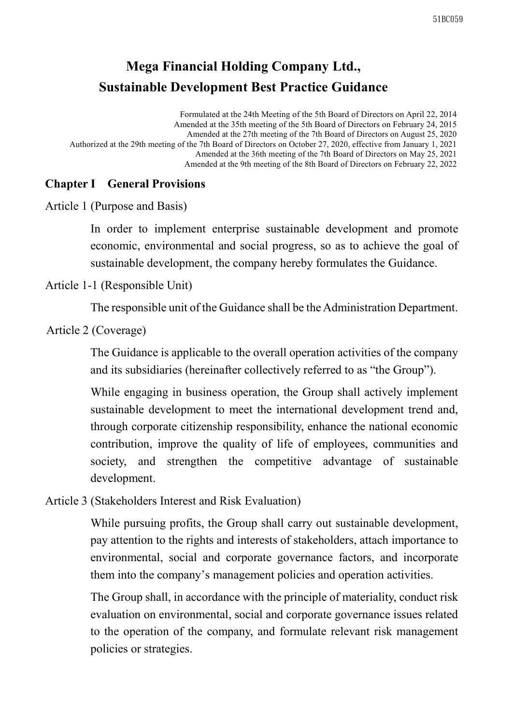# **Mega Financial Holding Company Ltd., Sustainable Development Best Practice Guidance**

Formulated at the 24th Meeting of the 5th Board of Directors on April 22, 2014 Amended at the 35th meeting of the 5th Board of Directors on February 24, 2015 Amended at the 27th meeting of the 7th Board of Directors on August 25, 2020 Authorized at the 29th meeting of the 7th Board of Directors on October 27, 2020, effective from January 1, 2021 Amended at the 36th meeting of the 7th Board of Directors on May 25, 2021 Amended at the 9th meeting of the 8th Board of Directors on February 22, 2022

#### **Chapter I General Provisions**

Article 1 (Purpose and Basis)

In order to implement enterprise sustainable development and promote economic, environmental and social progress, so as to achieve the goal of sustainable development, the company hereby formulates the Guidance.

Article 1-1 (Responsible Unit)

The responsible unit of the Guidance shall be the Administration Department.

Article 2 (Coverage)

The Guidance is applicable to the overall operation activities of the company and its subsidiaries (hereinafter collectively referred to as "the Group").

While engaging in business operation, the Group shall actively implement sustainable development to meet the international development trend and, through corporate citizenship responsibility, enhance the national economic contribution, improve the quality of life of employees, communities and society, and strengthen the competitive advantage of sustainable development.

Article 3 (Stakeholders Interest and Risk Evaluation)

While pursuing profits, the Group shall carry out sustainable development, pay attention to the rights and interests of stakeholders, attach importance to environmental, social and corporate governance factors, and incorporate them into the company's management policies and operation activities.

The Group shall, in accordance with the principle of materiality, conduct risk evaluation on environmental, social and corporate governance issues related to the operation of the company, and formulate relevant risk management policies or strategies.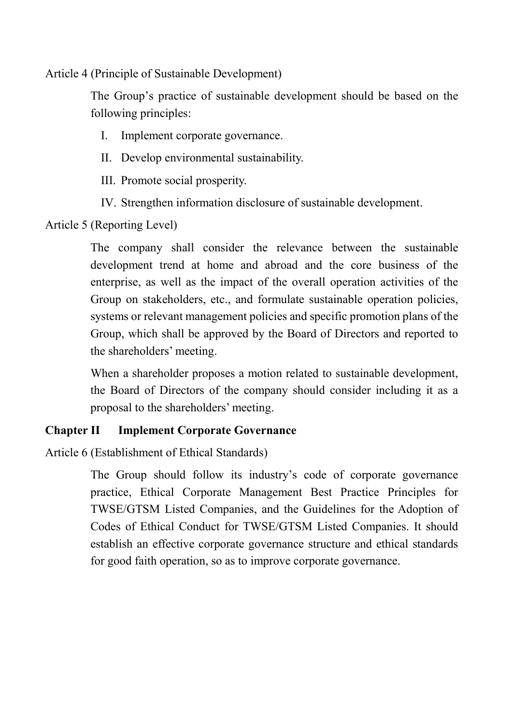Article 4 (Principle of Sustainable Development)

The Group's practice of sustainable development should be based on the following principles:

- I. Implement corporate governance.
- II. Develop environmental sustainability.
- III. Promote social prosperity.
- IV. Strengthen information disclosure of sustainable development.

Article 5 (Reporting Level)

The company shall consider the relevance between the sustainable development trend at home and abroad and the core business of the enterprise, as well as the impact of the overall operation activities of the Group on stakeholders, etc., and formulate sustainable operation policies, systems or relevant management policies and specific promotion plans of the Group, which shall be approved by the Board of Directors and reported to the shareholders' meeting.

When a shareholder proposes a motion related to sustainable development, the Board of Directors of the company should consider including it as a proposal to the shareholders' meeting.

#### **Chapter II Implement Corporate Governance**

Article 6 (Establishment of Ethical Standards)

The Group should follow its industry's code of corporate governance practice, Ethical Corporate Management Best Practice Principles for TWSE/GTSM Listed Companies, and the Guidelines for the Adoption of Codes of Ethical Conduct for TWSE/GTSM Listed Companies. It should establish an effective corporate governance structure and ethical standards for good faith operation, so as to improve corporate governance.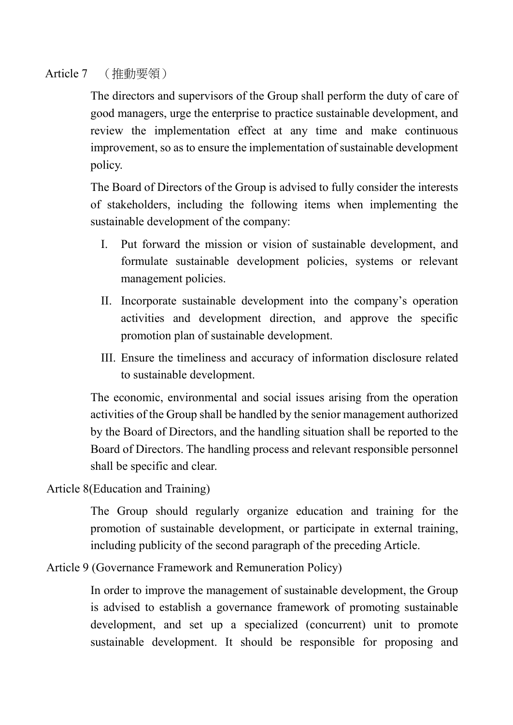#### Article 7 (推動要領)

The directors and supervisors of the Group shall perform the duty of care of good managers, urge the enterprise to practice sustainable development, and review the implementation effect at any time and make continuous improvement, so as to ensure the implementation of sustainable development policy.

The Board of Directors of the Group is advised to fully consider the interests of stakeholders, including the following items when implementing the sustainable development of the company:

- I. Put forward the mission or vision of sustainable development, and formulate sustainable development policies, systems or relevant management policies.
- II. Incorporate sustainable development into the company's operation activities and development direction, and approve the specific promotion plan of sustainable development.
- III. Ensure the timeliness and accuracy of information disclosure related to sustainable development.

The economic, environmental and social issues arising from the operation activities of the Group shall be handled by the senior management authorized by the Board of Directors, and the handling situation shall be reported to the Board of Directors. The handling process and relevant responsible personnel shall be specific and clear.

Article 8(Education and Training)

The Group should regularly organize education and training for the promotion of sustainable development, or participate in external training, including publicity of the second paragraph of the preceding Article.

Article 9 (Governance Framework and Remuneration Policy)

In order to improve the management of sustainable development, the Group is advised to establish a governance framework of promoting sustainable development, and set up a specialized (concurrent) unit to promote sustainable development. It should be responsible for proposing and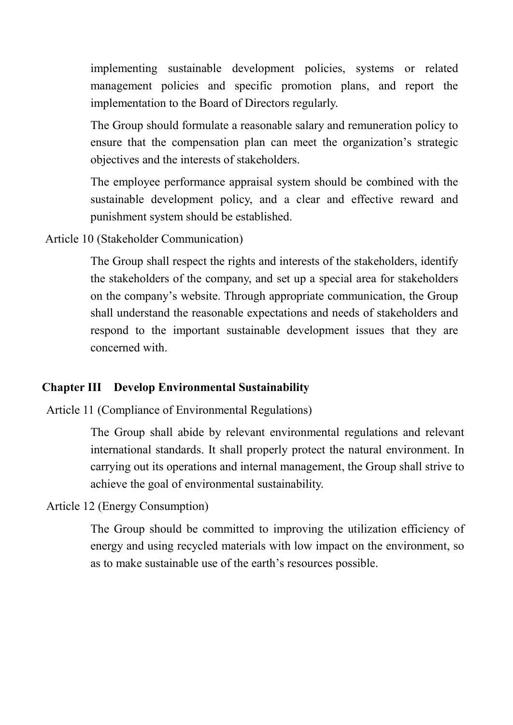implementing sustainable development policies, systems or related management policies and specific promotion plans, and report the implementation to the Board of Directors regularly.

The Group should formulate a reasonable salary and remuneration policy to ensure that the compensation plan can meet the organization's strategic objectives and the interests of stakeholders.

The employee performance appraisal system should be combined with the sustainable development policy, and a clear and effective reward and punishment system should be established.

Article 10 (Stakeholder Communication)

The Group shall respect the rights and interests of the stakeholders, identify the stakeholders of the company, and set up a special area for stakeholders on the company's website. Through appropriate communication, the Group shall understand the reasonable expectations and needs of stakeholders and respond to the important sustainable development issues that they are concerned with.

#### **Chapter III Develop Environmental Sustainability**

Article 11 (Compliance of Environmental Regulations)

The Group shall abide by relevant environmental regulations and relevant international standards. It shall properly protect the natural environment. In carrying out its operations and internal management, the Group shall strive to achieve the goal of environmental sustainability.

Article 12 (Energy Consumption)

The Group should be committed to improving the utilization efficiency of energy and using recycled materials with low impact on the environment, so as to make sustainable use of the earth's resources possible.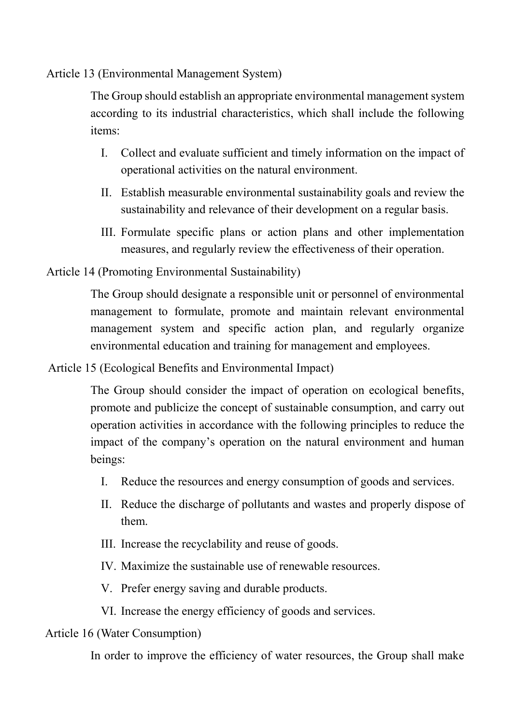Article 13 (Environmental Management System)

The Group should establish an appropriate environmental management system according to its industrial characteristics, which shall include the following items:

- I. Collect and evaluate sufficient and timely information on the impact of operational activities on the natural environment.
- II. Establish measurable environmental sustainability goals and review the sustainability and relevance of their development on a regular basis.
- III. Formulate specific plans or action plans and other implementation measures, and regularly review the effectiveness of their operation.

Article 14 (Promoting Environmental Sustainability)

The Group should designate a responsible unit or personnel of environmental management to formulate, promote and maintain relevant environmental management system and specific action plan, and regularly organize environmental education and training for management and employees.

Article 15 (Ecological Benefits and Environmental Impact)

The Group should consider the impact of operation on ecological benefits, promote and publicize the concept of sustainable consumption, and carry out operation activities in accordance with the following principles to reduce the impact of the company's operation on the natural environment and human beings:

- I. Reduce the resources and energy consumption of goods and services.
- II. Reduce the discharge of pollutants and wastes and properly dispose of them.
- III. Increase the recyclability and reuse of goods.
- IV. Maximize the sustainable use of renewable resources.
- V. Prefer energy saving and durable products.
- VI. Increase the energy efficiency of goods and services.

#### Article 16 (Water Consumption)

In order to improve the efficiency of water resources, the Group shall make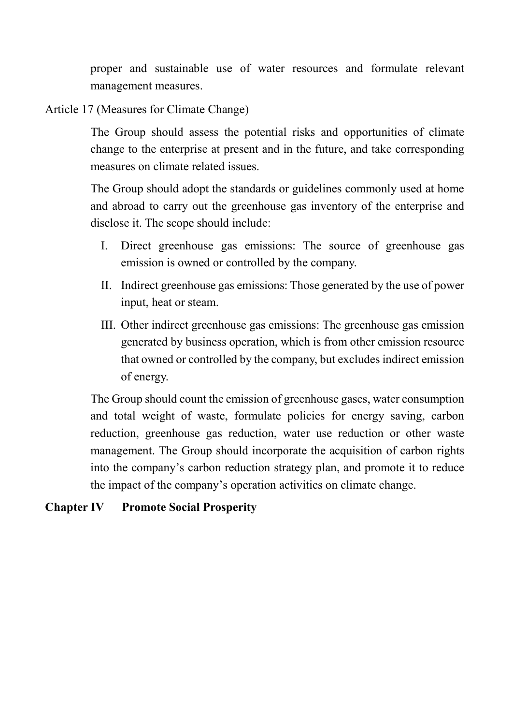proper and sustainable use of water resources and formulate relevant management measures.

Article 17 (Measures for Climate Change)

The Group should assess the potential risks and opportunities of climate change to the enterprise at present and in the future, and take corresponding measures on climate related issues.

The Group should adopt the standards or guidelines commonly used at home and abroad to carry out the greenhouse gas inventory of the enterprise and disclose it. The scope should include:

- I. Direct greenhouse gas emissions: The source of greenhouse gas emission is owned or controlled by the company.
- II. Indirect greenhouse gas emissions: Those generated by the use of power input, heat or steam.
- III. Other indirect greenhouse gas emissions: The greenhouse gas emission generated by business operation, which is from other emission resource that owned or controlled by the company, but excludes indirect emission of energy.

The Group should count the emission of greenhouse gases, water consumption and total weight of waste, formulate policies for energy saving, carbon reduction, greenhouse gas reduction, water use reduction or other waste management. The Group should incorporate the acquisition of carbon rights into the company's carbon reduction strategy plan, and promote it to reduce the impact of the company's operation activities on climate change.

### **Chapter IV Promote Social Prosperity**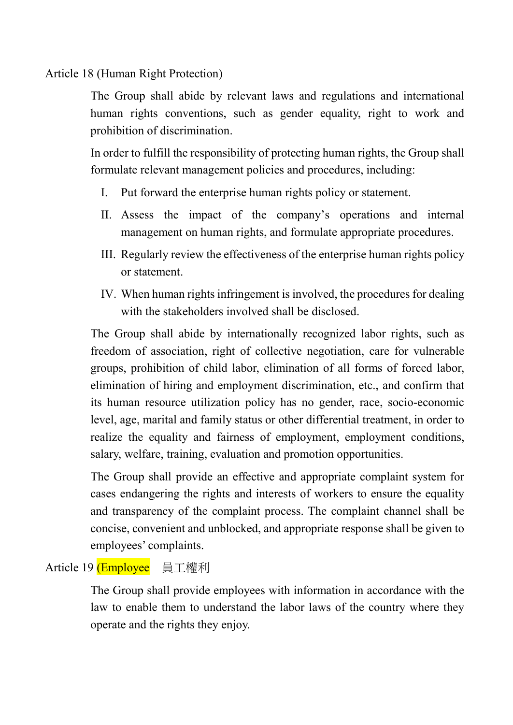Article 18 (Human Right Protection)

The Group shall abide by relevant laws and regulations and international human rights conventions, such as gender equality, right to work and prohibition of discrimination.

In order to fulfill the responsibility of protecting human rights, the Group shall formulate relevant management policies and procedures, including:

- I. Put forward the enterprise human rights policy or statement.
- II. Assess the impact of the company's operations and internal management on human rights, and formulate appropriate procedures.
- III. Regularly review the effectiveness of the enterprise human rights policy or statement.
- IV. When human rights infringement is involved, the procedures for dealing with the stakeholders involved shall be disclosed.

The Group shall abide by internationally recognized labor rights, such as freedom of association, right of collective negotiation, care for vulnerable groups, prohibition of child labor, elimination of all forms of forced labor, elimination of hiring and employment discrimination, etc., and confirm that its human resource utilization policy has no gender, race, socio-economic level, age, marital and family status or other differential treatment, in order to realize the equality and fairness of employment, employment conditions, salary, welfare, training, evaluation and promotion opportunities.

The Group shall provide an effective and appropriate complaint system for cases endangering the rights and interests of workers to ensure the equality and transparency of the complaint process. The complaint channel shall be concise, convenient and unblocked, and appropriate response shall be given to employees' complaints.

# Article 19 (Employee 員工權利

The Group shall provide employees with information in accordance with the law to enable them to understand the labor laws of the country where they operate and the rights they enjoy.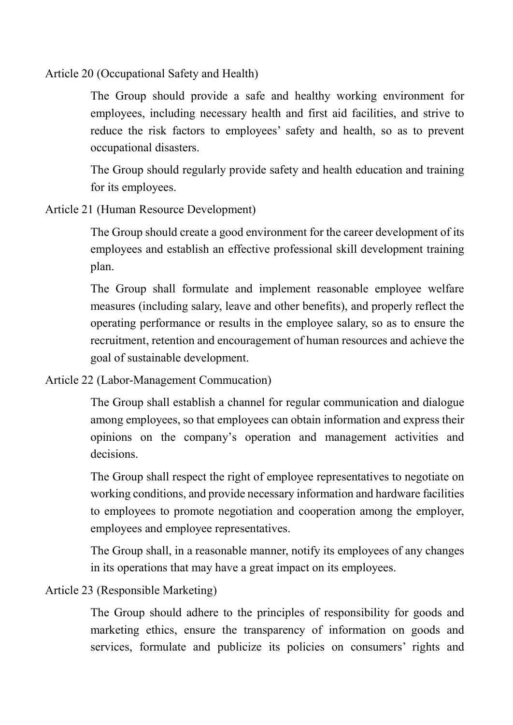Article 20 (Occupational Safety and Health)

The Group should provide a safe and healthy working environment for employees, including necessary health and first aid facilities, and strive to reduce the risk factors to employees' safety and health, so as to prevent occupational disasters.

The Group should regularly provide safety and health education and training for its employees.

Article 21 (Human Resource Development)

The Group should create a good environment for the career development of its employees and establish an effective professional skill development training plan.

The Group shall formulate and implement reasonable employee welfare measures (including salary, leave and other benefits), and properly reflect the operating performance or results in the employee salary, so as to ensure the recruitment, retention and encouragement of human resources and achieve the goal of sustainable development.

Article 22 (Labor-Management Commucation)

The Group shall establish a channel for regular communication and dialogue among employees, so that employees can obtain information and express their opinions on the company's operation and management activities and decisions.

The Group shall respect the right of employee representatives to negotiate on working conditions, and provide necessary information and hardware facilities to employees to promote negotiation and cooperation among the employer, employees and employee representatives.

The Group shall, in a reasonable manner, notify its employees of any changes in its operations that may have a great impact on its employees.

### Article 23 (Responsible Marketing)

The Group should adhere to the principles of responsibility for goods and marketing ethics, ensure the transparency of information on goods and services, formulate and publicize its policies on consumers' rights and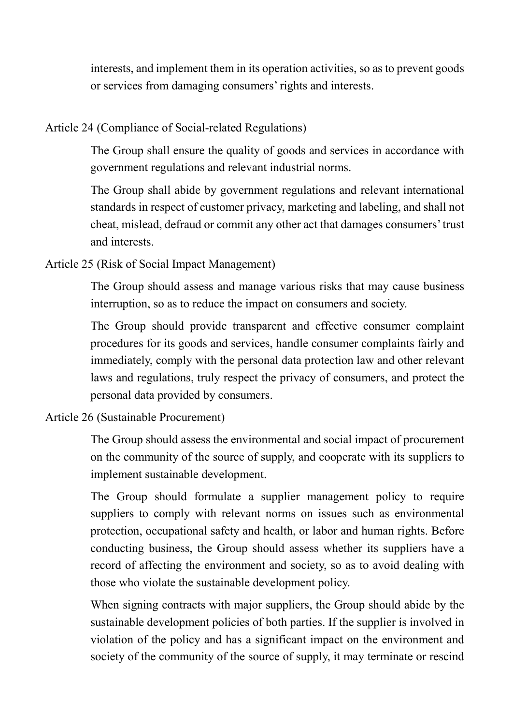interests, and implement them in its operation activities, so as to prevent goods or services from damaging consumers' rights and interests.

#### Article 24 (Compliance of Social-related Regulations)

The Group shall ensure the quality of goods and services in accordance with government regulations and relevant industrial norms.

The Group shall abide by government regulations and relevant international standards in respect of customer privacy, marketing and labeling, and shall not cheat, mislead, defraud or commit any other act that damages consumers' trust and interests.

### Article 25 (Risk of Social Impact Management)

The Group should assess and manage various risks that may cause business interruption, so as to reduce the impact on consumers and society.

The Group should provide transparent and effective consumer complaint procedures for its goods and services, handle consumer complaints fairly and immediately, comply with the personal data protection law and other relevant laws and regulations, truly respect the privacy of consumers, and protect the personal data provided by consumers.

### Article 26 (Sustainable Procurement)

The Group should assess the environmental and social impact of procurement on the community of the source of supply, and cooperate with its suppliers to implement sustainable development.

The Group should formulate a supplier management policy to require suppliers to comply with relevant norms on issues such as environmental protection, occupational safety and health, or labor and human rights. Before conducting business, the Group should assess whether its suppliers have a record of affecting the environment and society, so as to avoid dealing with those who violate the sustainable development policy.

When signing contracts with major suppliers, the Group should abide by the sustainable development policies of both parties. If the supplier is involved in violation of the policy and has a significant impact on the environment and society of the community of the source of supply, it may terminate or rescind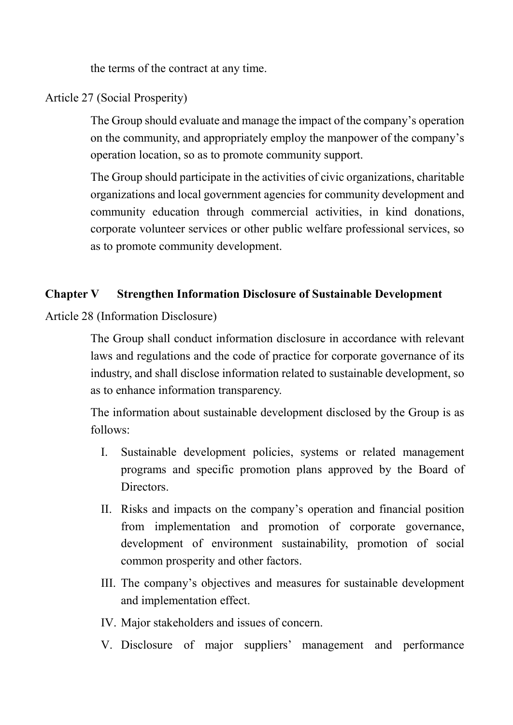the terms of the contract at any time.

### Article 27 (Social Prosperity)

The Group should evaluate and manage the impact of the company's operation on the community, and appropriately employ the manpower of the company's operation location, so as to promote community support.

The Group should participate in the activities of civic organizations, charitable organizations and local government agencies for community development and community education through commercial activities, in kind donations, corporate volunteer services or other public welfare professional services, so as to promote community development.

#### **Chapter V Strengthen Information Disclosure of Sustainable Development**

Article 28 (Information Disclosure)

The Group shall conduct information disclosure in accordance with relevant laws and regulations and the code of practice for corporate governance of its industry, and shall disclose information related to sustainable development, so as to enhance information transparency.

The information about sustainable development disclosed by the Group is as follows:

- I. Sustainable development policies, systems or related management programs and specific promotion plans approved by the Board of Directors.
- II. Risks and impacts on the company's operation and financial position from implementation and promotion of corporate governance, development of environment sustainability, promotion of social common prosperity and other factors.
- III. The company's objectives and measures for sustainable development and implementation effect.
- IV. Major stakeholders and issues of concern.
- V. Disclosure of major suppliers' management and performance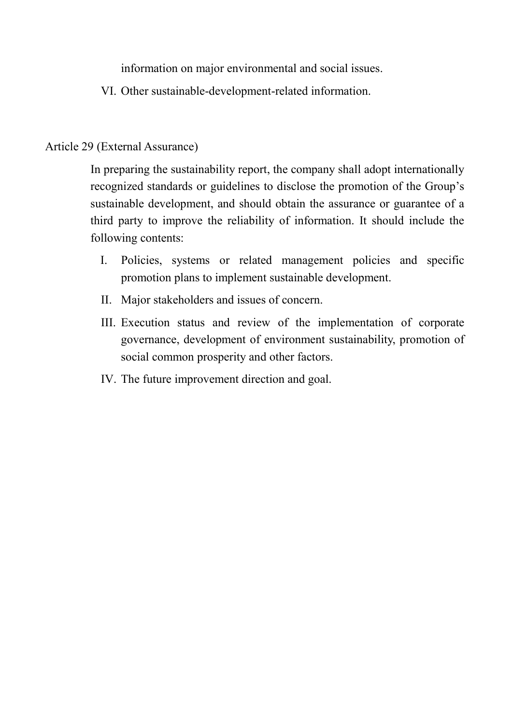information on major environmental and social issues.

VI. Other sustainable-development-related information.

# Article 29 (External Assurance)

In preparing the sustainability report, the company shall adopt internationally recognized standards or guidelines to disclose the promotion of the Group's sustainable development, and should obtain the assurance or guarantee of a third party to improve the reliability of information. It should include the following contents:

- I. Policies, systems or related management policies and specific promotion plans to implement sustainable development.
- II. Major stakeholders and issues of concern.
- III. Execution status and review of the implementation of corporate governance, development of environment sustainability, promotion of social common prosperity and other factors.
- IV. The future improvement direction and goal.